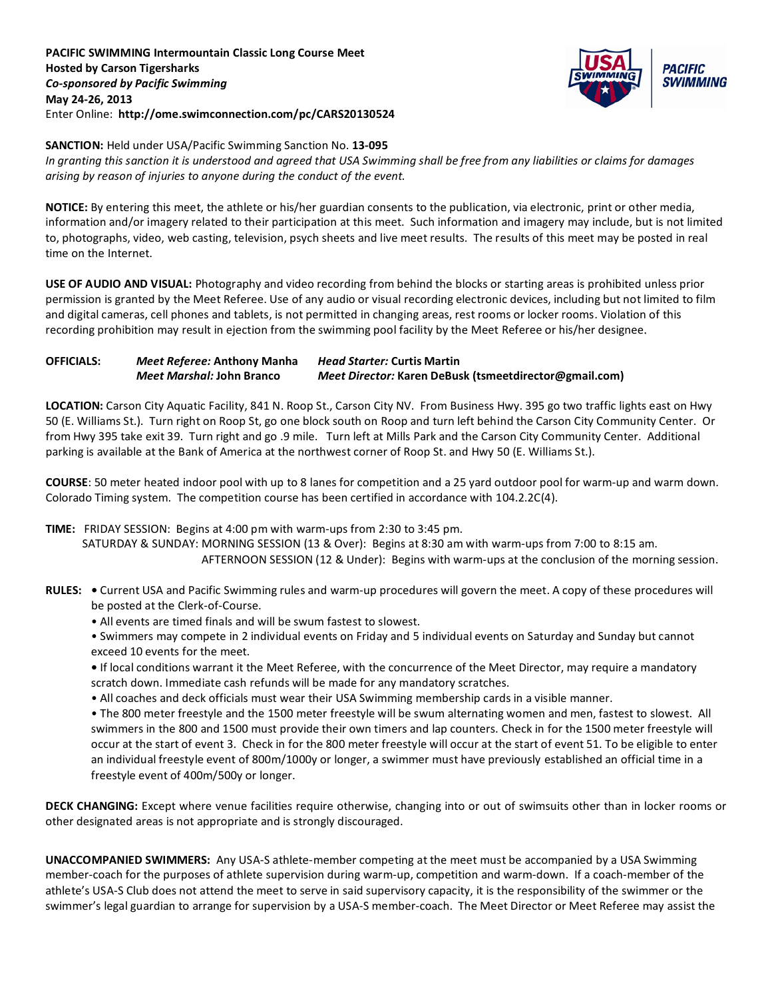**PACIFIC SWIMMING Intermountain Classic Long Course Meet Hosted by Carson Tigersharks** *Co-sponsored by Pacific Swimming* **May 24-26, 2013** Enter Online: **http://ome.swimconnection.com/pc/CARS20130524**



### **SANCTION:** Held under USA/Pacific Swimming Sanction No. **13-095**

*In granting this sanction it is understood and agreed that USA Swimming shall be free from any liabilities or claims for damages arising by reason of injuries to anyone during the conduct of the event.*

**NOTICE:** By entering this meet, the athlete or his/her guardian consents to the publication, via electronic, print or other media, information and/or imagery related to their participation at this meet. Such information and imagery may include, but is not limited to, photographs, video, web casting, television, psych sheets and live meet results. The results of this meet may be posted in real time on the Internet.

**USE OF AUDIO AND VISUAL:** Photography and video recording from behind the blocks or starting areas is prohibited unless prior permission is granted by the Meet Referee. Use of any audio or visual recording electronic devices, including but not limited to film and digital cameras, cell phones and tablets, is not permitted in changing areas, rest rooms or locker rooms. Violation of this recording prohibition may result in ejection from the swimming pool facility by the Meet Referee or his/her designee.

## **OFFICIALS:** *Meet Referee:* **Anthony Manha** *Head Starter:* **Curtis Martin** *Meet Marshal:* **John Branco** *Meet Director:* **Karen DeBusk (tsmeetdirector@gmail.com)**

**LOCATION:** Carson City Aquatic Facility, 841 N. Roop St., Carson City NV. From Business Hwy. 395 go two traffic lights east on Hwy 50 (E. Williams St.). Turn right on Roop St, go one block south on Roop and turn left behind the Carson City Community Center. Or from Hwy 395 take exit 39. Turn right and go .9 mile. Turn left at Mills Park and the Carson City Community Center. Additional parking is available at the Bank of America at the northwest corner of Roop St. and Hwy 50 (E. Williams St.).

**COURSE**: 50 meter heated indoor pool with up to 8 lanes for competition and a 25 yard outdoor pool for warm-up and warm down. Colorado Timing system. The competition course has been certified in accordance with 104.2.2C(4).

#### **TIME:** FRIDAY SESSION: Begins at 4:00 pm with warm-ups from 2:30 to 3:45 pm.

 SATURDAY & SUNDAY: MORNING SESSION (13 & Over): Begins at 8:30 am with warm-ups from 7:00 to 8:15 am. AFTERNOON SESSION (12 & Under): Begins with warm-ups at the conclusion of the morning session.

- **RULES:** Current USA and Pacific Swimming rules and warm-up procedures will govern the meet. A copy of these procedures will be posted at the Clerk-of-Course.
	- All events are timed finals and will be swum fastest to slowest.
	- Swimmers may compete in 2 individual events on Friday and 5 individual events on Saturday and Sunday but cannot exceed 10 events for the meet.
	- If local conditions warrant it the Meet Referee, with the concurrence of the Meet Director, may require a mandatory scratch down. Immediate cash refunds will be made for any mandatory scratches.
	- All coaches and deck officials must wear their USA Swimming membership cards in a visible manner.

• The 800 meter freestyle and the 1500 meter freestyle will be swum alternating women and men, fastest to slowest. All swimmers in the 800 and 1500 must provide their own timers and lap counters. Check in for the 1500 meter freestyle will occur at the start of event 3. Check in for the 800 meter freestyle will occur at the start of event 51. To be eligible to enter an individual freestyle event of 800m/1000y or longer, a swimmer must have previously established an official time in a freestyle event of 400m/500y or longer.

**DECK CHANGING:** Except where venue facilities require otherwise, changing into or out of swimsuits other than in locker rooms or other designated areas is not appropriate and is strongly discouraged.

**UNACCOMPANIED SWIMMERS:** Any USA-S athlete-member competing at the meet must be accompanied by a USA Swimming member-coach for the purposes of athlete supervision during warm-up, competition and warm-down. If a coach-member of the athlete's USA-S Club does not attend the meet to serve in said supervisory capacity, it is the responsibility of the swimmer or the swimmer's legal guardian to arrange for supervision by a USA-S member-coach. The Meet Director or Meet Referee may assist the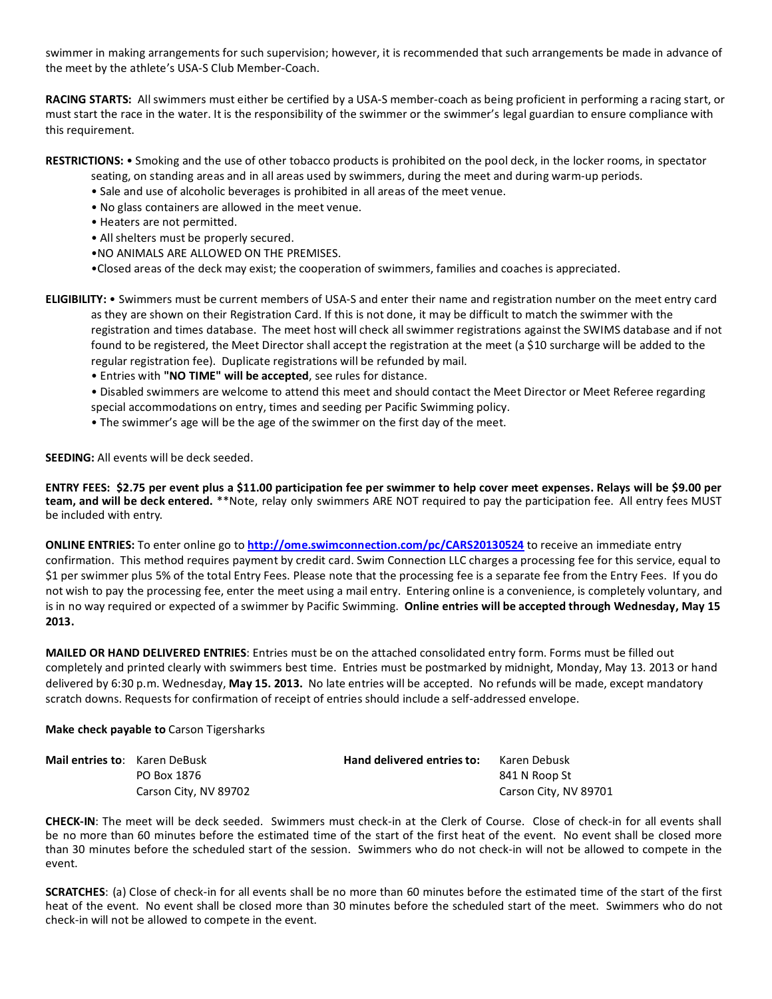swimmer in making arrangements for such supervision; however, it is recommended that such arrangements be made in advance of the meet by the athlete's USA-S Club Member-Coach.

**RACING STARTS:** All swimmers must either be certified by a USA-S member-coach as being proficient in performing a racing start, or must start the race in the water. It is the responsibility of the swimmer or the swimmer's legal guardian to ensure compliance with this requirement.

**RESTRICTIONS:** • Smoking and the use of other tobacco products is prohibited on the pool deck, in the locker rooms, in spectator

seating, on standing areas and in all areas used by swimmers, during the meet and during warm-up periods.

- Sale and use of alcoholic beverages is prohibited in all areas of the meet venue.
- No glass containers are allowed in the meet venue.
- Heaters are not permitted.
- All shelters must be properly secured.
- •NO ANIMALS ARE ALLOWED ON THE PREMISES.
- •Closed areas of the deck may exist; the cooperation of swimmers, families and coaches is appreciated.
- **ELIGIBILITY:** Swimmers must be current members of USA-S and enter their name and registration number on the meet entry card as they are shown on their Registration Card. If this is not done, it may be difficult to match the swimmer with the registration and times database. The meet host will check all swimmer registrations against the SWIMS database and if not found to be registered, the Meet Director shall accept the registration at the meet (a \$10 surcharge will be added to the regular registration fee). Duplicate registrations will be refunded by mail.
	- Entries with **"NO TIME" will be accepted**, see rules for distance.

• Disabled swimmers are welcome to attend this meet and should contact the Meet Director or Meet Referee regarding special accommodations on entry, times and seeding per Pacific Swimming policy.

• The swimmer's age will be the age of the swimmer on the first day of the meet.

**SEEDING:** All events will be deck seeded.

**ENTRY FEES: \$2.75 per event plus a \$11.00 participation fee per swimmer to help cover meet expenses. Relays will be \$9.00 per team, and will be deck entered.** \*\*Note, relay only swimmers ARE NOT required to pay the participation fee. All entry fees MUST be included with entry.

**ONLINE ENTRIES:** To enter online go to **<http://ome.swimconnection.com/pc/CARS20130524>** to receive an immediate entry confirmation. This method requires payment by credit card. Swim Connection LLC charges a processing fee for this service, equal to \$1 per swimmer plus 5% of the total Entry Fees. Please note that the processing fee is a separate fee from the Entry Fees. If you do not wish to pay the processing fee, enter the meet using a mail entry. Entering online is a convenience, is completely voluntary, and is in no way required or expected of a swimmer by Pacific Swimming. **Online entries will be accepted through Wednesday, May 15 2013.**

**MAILED OR HAND DELIVERED ENTRIES**: Entries must be on the attached consolidated entry form. Forms must be filled out completely and printed clearly with swimmers best time. Entries must be postmarked by midnight, Monday, May 13. 2013 or hand delivered by 6:30 p.m. Wednesday, **May 15. 2013.** No late entries will be accepted. No refunds will be made, except mandatory scratch downs. Requests for confirmation of receipt of entries should include a self-addressed envelope.

#### **Make check payable to** Carson Tigersharks

| <b>Mail entries to:</b> Karen DeBusk |                       | Hand delivered entries to: | Karen Debusk          |
|--------------------------------------|-----------------------|----------------------------|-----------------------|
|                                      | PO Box 1876           |                            | 841 N Roop St         |
|                                      | Carson City, NV 89702 |                            | Carson City, NV 89701 |

**CHECK-IN**: The meet will be deck seeded. Swimmers must check-in at the Clerk of Course. Close of check-in for all events shall be no more than 60 minutes before the estimated time of the start of the first heat of the event. No event shall be closed more than 30 minutes before the scheduled start of the session. Swimmers who do not check-in will not be allowed to compete in the event.

**SCRATCHES**: (a) Close of check-in for all events shall be no more than 60 minutes before the estimated time of the start of the first heat of the event. No event shall be closed more than 30 minutes before the scheduled start of the meet. Swimmers who do not check-in will not be allowed to compete in the event.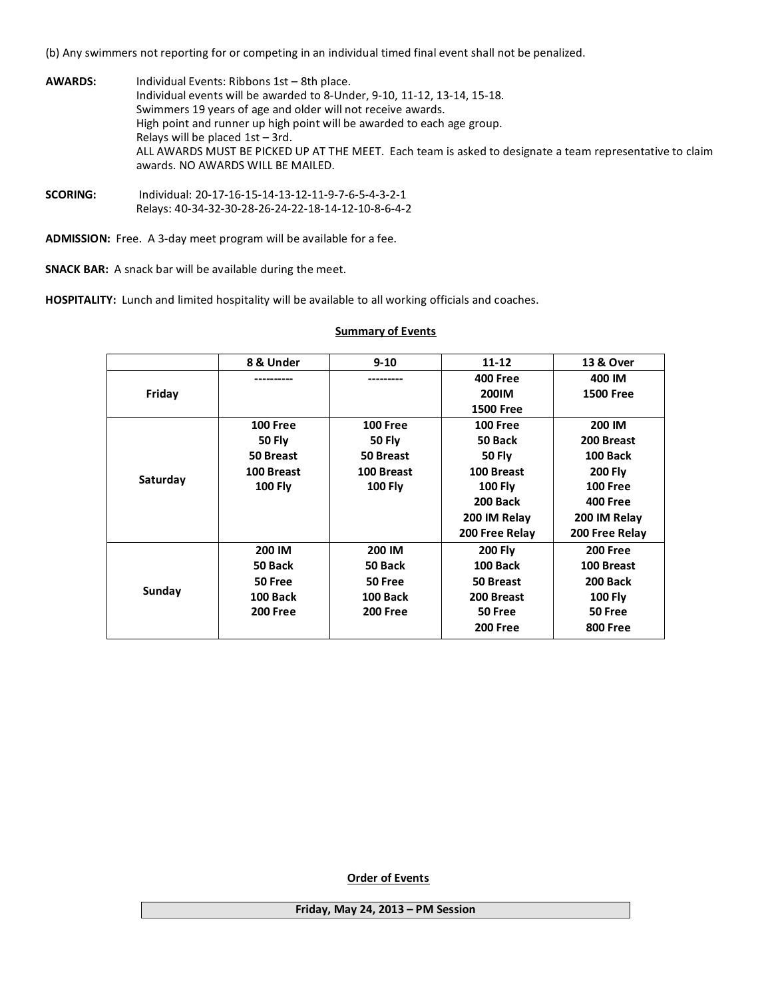(b) Any swimmers not reporting for or competing in an individual timed final event shall not be penalized.

| <b>AWARDS:</b> | Individual Events: Ribbons 1st - 8th place.<br>Individual events will be awarded to 8-Under, 9-10, 11-12, 13-14, 15-18.<br>Swimmers 19 years of age and older will not receive awards.                                    |
|----------------|---------------------------------------------------------------------------------------------------------------------------------------------------------------------------------------------------------------------------|
|                | High point and runner up high point will be awarded to each age group.<br>Relays will be placed $1st - 3rd$ .<br>ALL AWARDS MUST BE PICKED UP AT THE MEET. Each team is asked to designate a team representative to claim |
|                | awards. NO AWARDS WILL BE MAILED.                                                                                                                                                                                         |

**SCORING:** Individual: 20-17-16-15-14-13-12-11-9-7-6-5-4-3-2-1 Relays: 40-34-32-30-28-26-24-22-18-14-12-10-8-6-4-2

**ADMISSION:** Free. A 3-day meet program will be available for a fee.

**SNACK BAR:** A snack bar will be available during the meet.

**HOSPITALITY:** Lunch and limited hospitality will be available to all working officials and coaches.

#### **8 & Under 9-10 11-12 13 & Over Friday ---------- --------- 400 Free 200IM 1500 Free 400 IM 1500 Free Saturday 100 Free 50 Fly 50 Breast 100 Breast 100 Fly 100 Free 50 Fly 50 Breast 100 Breast 100 Fly 100 Free 50 Back 50 Fly 100 Breast 100 Fly 200 Back 200 IM Relay 200 Free Relay 200 IM 200 Breast 100 Back 200 Fly 100 Free 400 Free 200 IM Relay 200 Free Relay Sunday 200 IM 50 Back 50 Free 100 Back 200 Free 200 IM 50 Back 50 Free 100 Back 200 Free 200 Fly 100 Back 50 Breast 200 Breast 50 Free 200 Free 200 Free 100 Breast 200 Back 100 Fly 50 Free 800 Free**

# **Summary of Events**

 **Order of Events**

**Friday, May 24, 2013 – PM Session**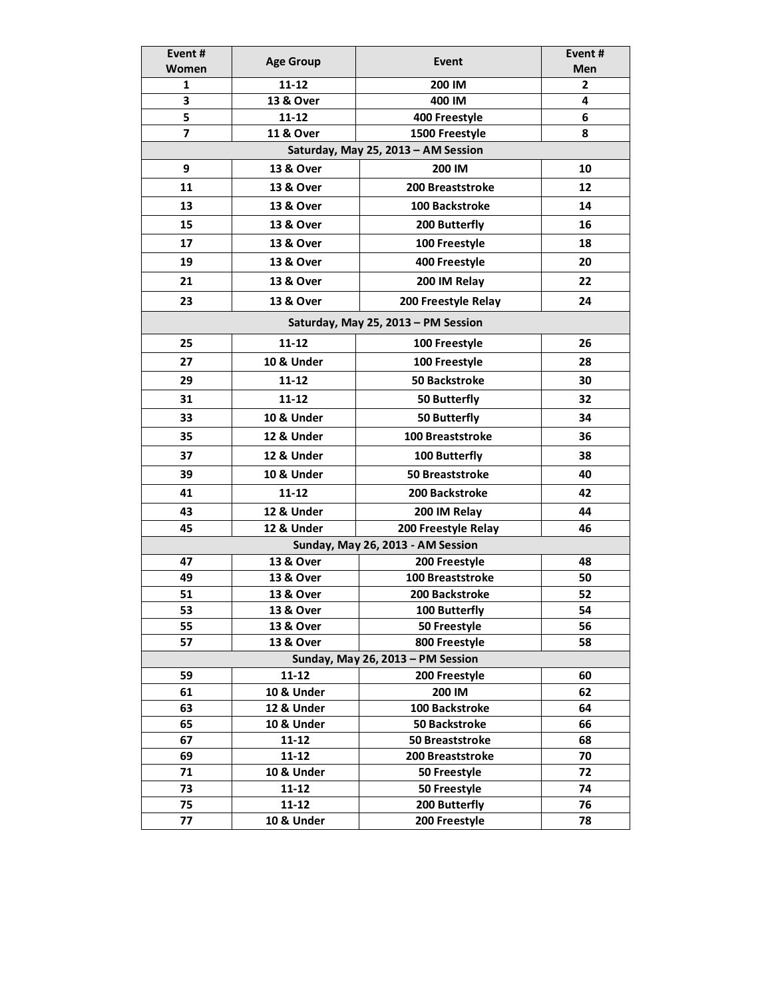| Event#   | <b>Age Group</b>        | Event#<br>Event                                       |                     |  |  |  |  |
|----------|-------------------------|-------------------------------------------------------|---------------------|--|--|--|--|
| Women    |                         |                                                       | Men                 |  |  |  |  |
| 1        | $11 - 12$               | 200 IM                                                | $\overline{2}$<br>4 |  |  |  |  |
| 3<br>5   | 13 & Over<br>$11 - 12$  | 400 IM                                                | 6                   |  |  |  |  |
| 7        | <b>11 &amp; Over</b>    | 400 Freestyle<br>1500 Freestyle                       | 8                   |  |  |  |  |
|          |                         | Saturday, May 25, 2013 - AM Session                   |                     |  |  |  |  |
|          |                         |                                                       |                     |  |  |  |  |
| 9        | 13 & Over               | 200 IM                                                | 10                  |  |  |  |  |
| 11       | 13 & Over               | 12<br><b>200 Breaststroke</b><br>100 Backstroke<br>14 |                     |  |  |  |  |
| 13       | 13 & Over               |                                                       |                     |  |  |  |  |
| 15       | 13 & Over               | 16<br>200 Butterfly                                   |                     |  |  |  |  |
| 17       | 13 & Over               | 100 Freestyle                                         | 18                  |  |  |  |  |
| 19       | 13 & Over               | 400 Freestyle                                         | 20                  |  |  |  |  |
| 21       | 13 & Over               | 200 IM Relay                                          | 22                  |  |  |  |  |
| 23       | 13 & Over               | 200 Freestyle Relay                                   | 24                  |  |  |  |  |
|          |                         | Saturday, May 25, 2013 - PM Session                   |                     |  |  |  |  |
| 25       | $11 - 12$               | 100 Freestyle                                         | 26                  |  |  |  |  |
| 27       | 10 & Under              | 100 Freestyle                                         | 28                  |  |  |  |  |
| 29       | $11 - 12$               | <b>50 Backstroke</b>                                  | 30                  |  |  |  |  |
| 31       | $11 - 12$               | 50 Butterfly                                          | 32                  |  |  |  |  |
| 33       | 10 & Under              | 50 Butterfly                                          | 34                  |  |  |  |  |
| 35       | 12 & Under              | <b>100 Breaststroke</b>                               | 36                  |  |  |  |  |
| 37       | 12 & Under              | 100 Butterfly<br>38                                   |                     |  |  |  |  |
| 39       | 10 & Under              | 50 Breaststroke<br>40                                 |                     |  |  |  |  |
| 41       | $11 - 12$               | 200 Backstroke                                        | 42                  |  |  |  |  |
| 43       | 12 & Under              | 200 IM Relay                                          | 44                  |  |  |  |  |
| 45       | 12 & Under              | 200 Freestyle Relay                                   | 46                  |  |  |  |  |
|          |                         | Sunday, May 26, 2013 - AM Session                     |                     |  |  |  |  |
| 47       | 13 & Over               | 200 Freestyle                                         | 48                  |  |  |  |  |
| 49       | 13 & Over               | 100 Breaststroke                                      | 50                  |  |  |  |  |
| 51       | <b>13 &amp; Over</b>    | 200 Backstroke                                        | 52                  |  |  |  |  |
| 53       | 13 & Over               | 100 Butterfly                                         | 54                  |  |  |  |  |
| 55       | 13 & Over               | 50 Freestyle                                          | 56                  |  |  |  |  |
| 57       | 13 & Over               | 800 Freestyle                                         | 58                  |  |  |  |  |
|          |                         | Sunday, May 26, 2013 - PM Session                     |                     |  |  |  |  |
| 59       | $11 - 12$               | 200 Freestyle                                         | 60                  |  |  |  |  |
| 61       | <b>10 &amp; Under</b>   | 200 IM                                                | 62                  |  |  |  |  |
| 63       | 12 & Under              | 100 Backstroke                                        | 64                  |  |  |  |  |
| 65       | 10 & Under              | <b>50 Backstroke</b>                                  | 66                  |  |  |  |  |
| 67       | $11 - 12$               | 50 Breaststroke                                       | 68                  |  |  |  |  |
| 69       | $11 - 12$               | 200 Breaststroke                                      | 70                  |  |  |  |  |
| 71       | 10 & Under              | 50 Freestyle                                          | 72                  |  |  |  |  |
| 73       | $11 - 12$               | 50 Freestyle                                          | 74                  |  |  |  |  |
| 75<br>77 | $11 - 12$<br>10 & Under | 200 Butterfly<br>200 Freestyle                        | 76                  |  |  |  |  |
|          |                         |                                                       | 78                  |  |  |  |  |